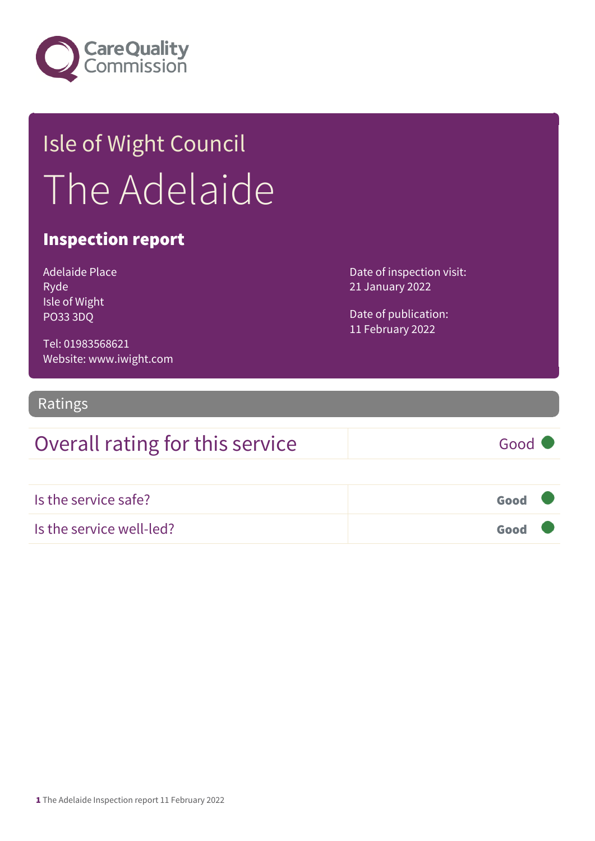

## Isle of Wight Council The Adelaide

#### Inspection report

| Adelaide Place  |
|-----------------|
| Ryde            |
| Isle of Wight   |
| <b>PO33 3DQ</b> |

Date of inspection visit: 21 January 2022

Date of publication: 11 February 2022

Tel: 01983568621 Website: www.iwight.com

#### Ratings

## Overall rating for this service Good

| Is the service safe?     | Good |  |
|--------------------------|------|--|
| Is the service well-led? | Good |  |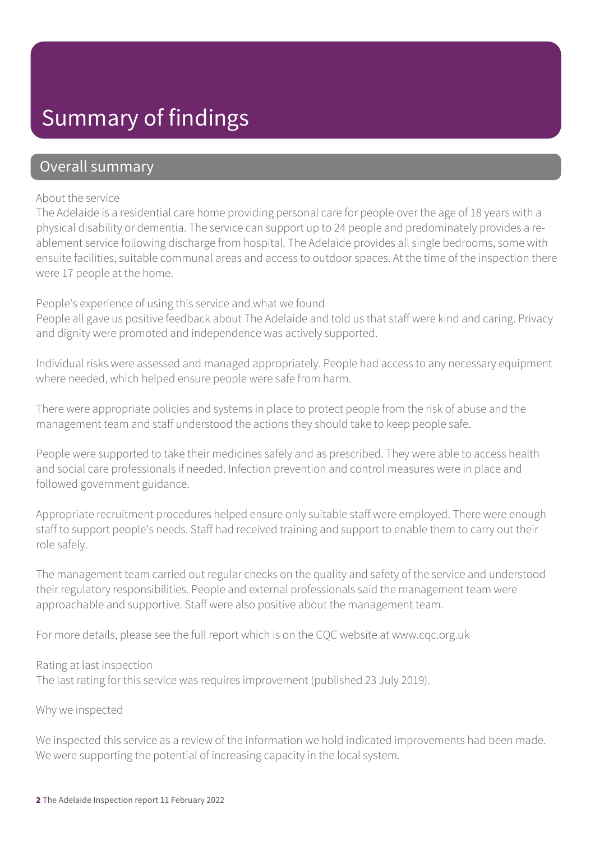## Summary of findings

#### Overall summary

#### About the service

The Adelaide is a residential care home providing personal care for people over the age of 18 years with a physical disability or dementia. The service can support up to 24 people and predominately provides a reablement service following discharge from hospital. The Adelaide provides all single bedrooms, some with ensuite facilities, suitable communal areas and access to outdoor spaces. At the time of the inspection there were 17 people at the home.

#### People's experience of using this service and what we found

People all gave us positive feedback about The Adelaide and told us that staff were kind and caring. Privacy and dignity were promoted and independence was actively supported.

Individual risks were assessed and managed appropriately. People had access to any necessary equipment where needed, which helped ensure people were safe from harm.

There were appropriate policies and systems in place to protect people from the risk of abuse and the management team and staff understood the actions they should take to keep people safe.

People were supported to take their medicines safely and as prescribed. They were able to access health and social care professionals if needed. Infection prevention and control measures were in place and followed government guidance.

Appropriate recruitment procedures helped ensure only suitable staff were employed. There were enough staff to support people's needs. Staff had received training and support to enable them to carry out their role safely.

The management team carried out regular checks on the quality and safety of the service and understood their regulatory responsibilities. People and external professionals said the management team were approachable and supportive. Staff were also positive about the management team.

For more details, please see the full report which is on the CQC website at www.cqc.org.uk

#### Rating at last inspection

The last rating for this service was requires improvement (published 23 July 2019).

#### Why we inspected

We inspected this service as a review of the information we hold indicated improvements had been made. We were supporting the potential of increasing capacity in the local system.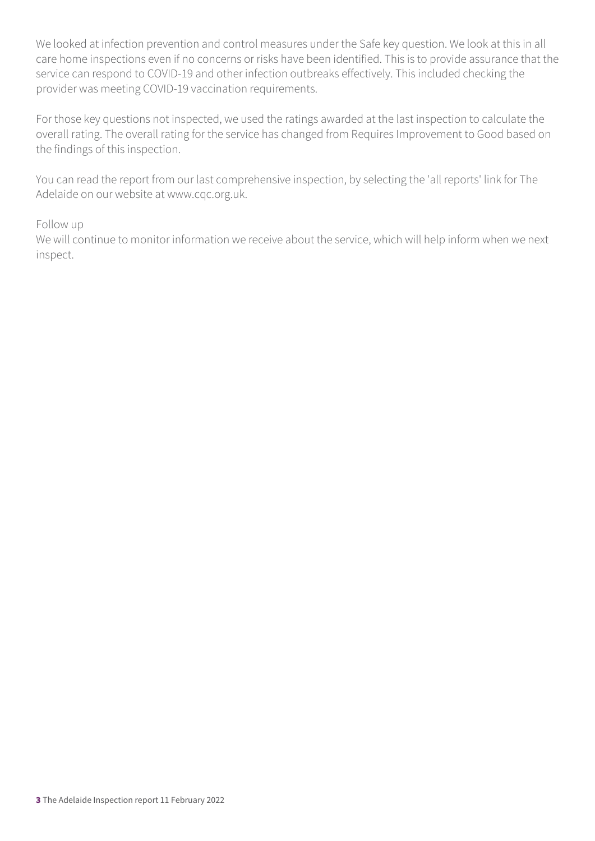We looked at infection prevention and control measures under the Safe key question. We look at this in all care home inspections even if no concerns or risks have been identified. This is to provide assurance that the service can respond to COVID-19 and other infection outbreaks effectively. This included checking the provider was meeting COVID-19 vaccination requirements.

For those key questions not inspected, we used the ratings awarded at the last inspection to calculate the overall rating. The overall rating for the service has changed from Requires Improvement to Good based on the findings of this inspection.

You can read the report from our last comprehensive inspection, by selecting the 'all reports' link for The Adelaide on our website at www.cqc.org.uk.

#### Follow up

We will continue to monitor information we receive about the service, which will help inform when we next inspect.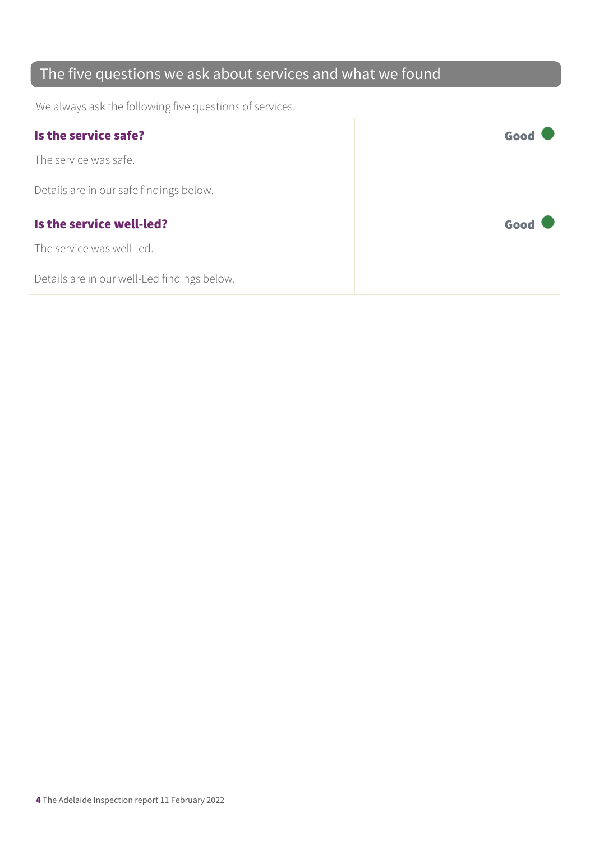### The five questions we ask about services and what we found

We always ask the following five questions of services.

| Is the service safe?                    | Good |
|-----------------------------------------|------|
| The service was safe.                   |      |
| Details are in our safe findings below. |      |
|                                         |      |
| Is the service well-led?                | Good |
| The service was well-led.               |      |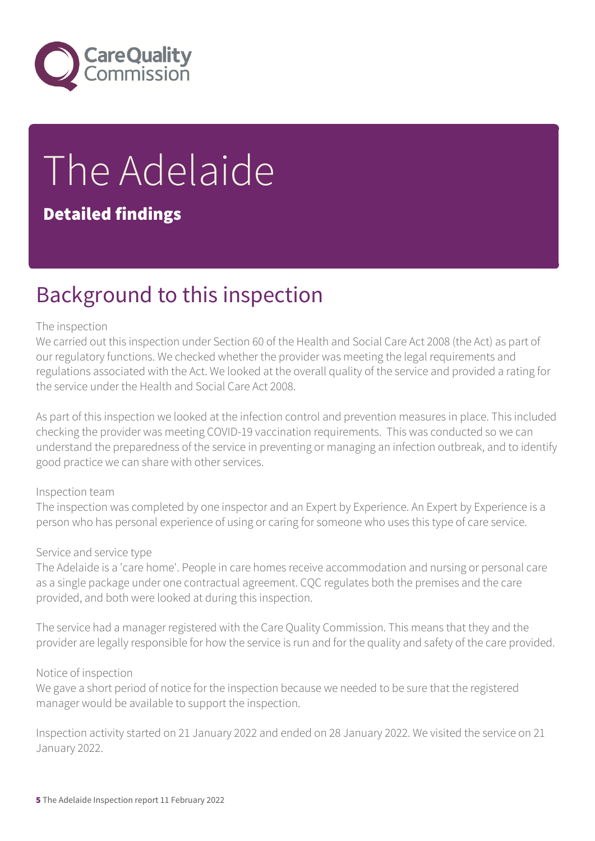

# The Adelaide

#### Detailed findings

## Background to this inspection

#### The inspection

We carried out this inspection under Section 60 of the Health and Social Care Act 2008 (the Act) as part of our regulatory functions. We checked whether the provider was meeting the legal requirements and regulations associated with the Act. We looked at the overall quality of the service and provided a rating for the service under the Health and Social Care Act 2008.

As part of this inspection we looked at the infection control and prevention measures in place. This included checking the provider was meeting COVID-19 vaccination requirements. This was conducted so we can understand the preparedness of the service in preventing or managing an infection outbreak, and to identify good practice we can share with other services.

#### Inspection team

The inspection was completed by one inspector and an Expert by Experience. An Expert by Experience is a person who has personal experience of using or caring for someone who uses this type of care service.

#### Service and service type

The Adelaide is a 'care home'. People in care homes receive accommodation and nursing or personal care as a single package under one contractual agreement. CQC regulates both the premises and the care provided, and both were looked at during this inspection.

The service had a manager registered with the Care Quality Commission. This means that they and the provider are legally responsible for how the service is run and for the quality and safety of the care provided.

#### Notice of inspection

We gave a short period of notice for the inspection because we needed to be sure that the registered manager would be available to support the inspection.

Inspection activity started on 21 January 2022 and ended on 28 January 2022. We visited the service on 21 January 2022.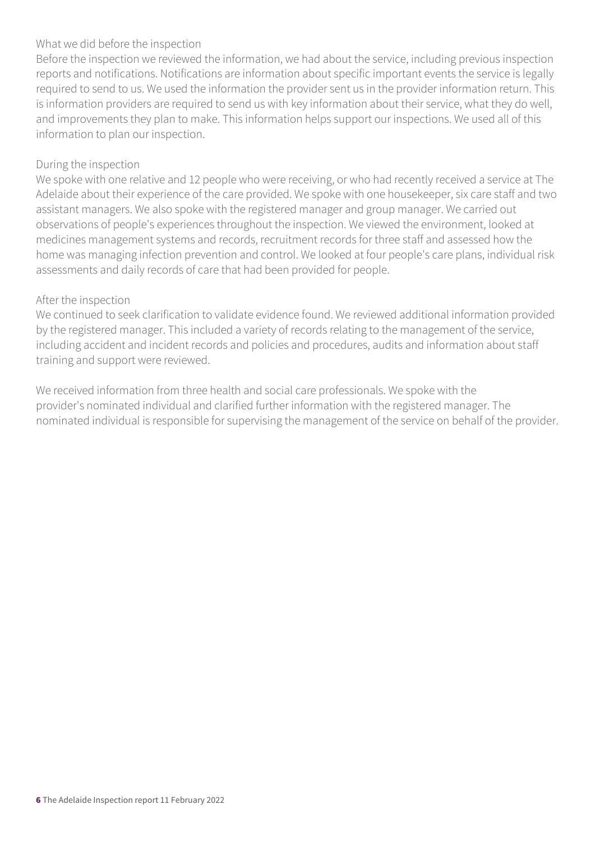#### What we did before the inspection

Before the inspection we reviewed the information, we had about the service, including previous inspection reports and notifications. Notifications are information about specific important events the service is legally required to send to us. We used the information the provider sent us in the provider information return. This is information providers are required to send us with key information about their service, what they do well, and improvements they plan to make. This information helps support our inspections. We used all of this information to plan our inspection.

#### During the inspection

We spoke with one relative and 12 people who were receiving, or who had recently received a service at The Adelaide about their experience of the care provided. We spoke with one housekeeper, six care staff and two assistant managers. We also spoke with the registered manager and group manager. We carried out observations of people's experiences throughout the inspection. We viewed the environment, looked at medicines management systems and records, recruitment records for three staff and assessed how the home was managing infection prevention and control. We looked at four people's care plans, individual risk assessments and daily records of care that had been provided for people.

#### After the inspection

We continued to seek clarification to validate evidence found. We reviewed additional information provided by the registered manager. This included a variety of records relating to the management of the service, including accident and incident records and policies and procedures, audits and information about staff training and support were reviewed.

We received information from three health and social care professionals. We spoke with the provider's nominated individual and clarified further information with the registered manager. The nominated individual is responsible for supervising the management of the service on behalf of the provider.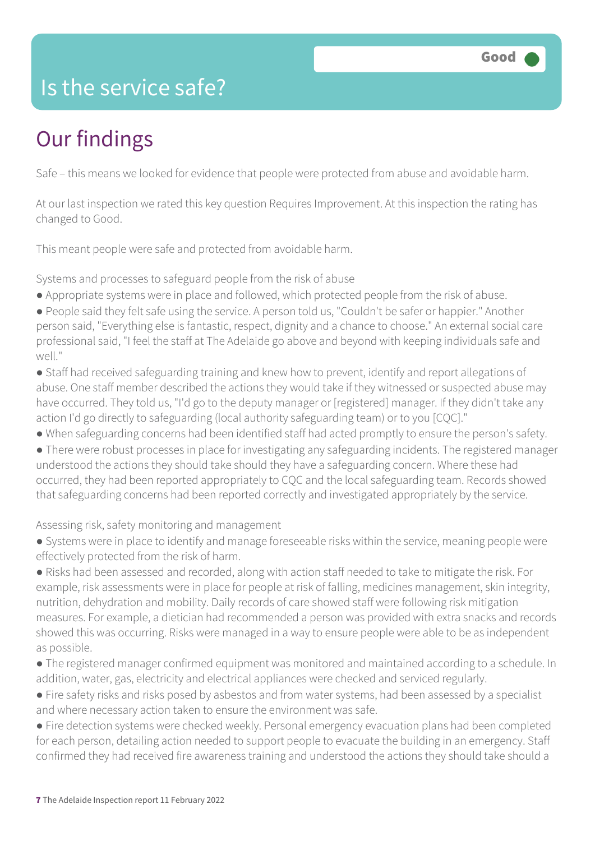## Is the service safe?

## Our findings

Safe – this means we looked for evidence that people were protected from abuse and avoidable harm.

At our last inspection we rated this key question Requires Improvement. At this inspection the rating has changed to Good.

This meant people were safe and protected from avoidable harm.

Systems and processes to safeguard people from the risk of abuse

- Appropriate systems were in place and followed, which protected people from the risk of abuse.
- People said they felt safe using the service. A person told us, "Couldn't be safer or happier." Another person said, "Everything else is fantastic, respect, dignity and a chance to choose." An external social care professional said, "I feel the staff at The Adelaide go above and beyond with keeping individuals safe and well."
- Staff had received safeguarding training and knew how to prevent, identify and report allegations of abuse. One staff member described the actions they would take if they witnessed or suspected abuse may have occurred. They told us, "I'd go to the deputy manager or [registered] manager. If they didn't take any action I'd go directly to safeguarding (local authority safeguarding team) or to you [CQC]."
- When safeguarding concerns had been identified staff had acted promptly to ensure the person's safety.
- There were robust processes in place for investigating any safeguarding incidents. The registered manager understood the actions they should take should they have a safeguarding concern. Where these had occurred, they had been reported appropriately to CQC and the local safeguarding team. Records showed that safeguarding concerns had been reported correctly and investigated appropriately by the service.

#### Assessing risk, safety monitoring and management

- Systems were in place to identify and manage foreseeable risks within the service, meaning people were effectively protected from the risk of harm.
- Risks had been assessed and recorded, along with action staff needed to take to mitigate the risk. For example, risk assessments were in place for people at risk of falling, medicines management, skin integrity, nutrition, dehydration and mobility. Daily records of care showed staff were following risk mitigation measures. For example, a dietician had recommended a person was provided with extra snacks and records showed this was occurring. Risks were managed in a way to ensure people were able to be as independent as possible.
- The registered manager confirmed equipment was monitored and maintained according to a schedule. In addition, water, gas, electricity and electrical appliances were checked and serviced regularly.
- Fire safety risks and risks posed by asbestos and from water systems, had been assessed by a specialist and where necessary action taken to ensure the environment was safe.
- Fire detection systems were checked weekly. Personal emergency evacuation plans had been completed for each person, detailing action needed to support people to evacuate the building in an emergency. Staff confirmed they had received fire awareness training and understood the actions they should take should a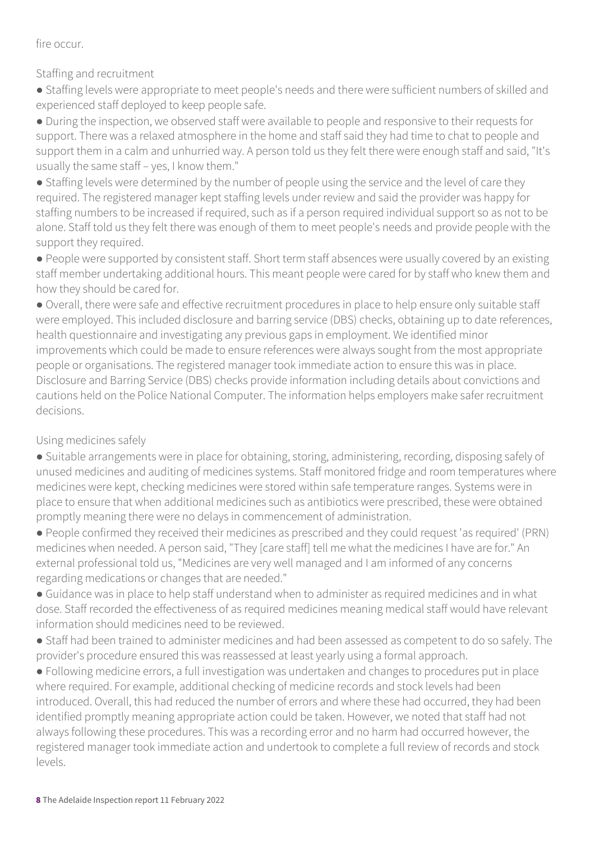fire occur.

Staffing and recruitment

● Staffing levels were appropriate to meet people's needs and there were sufficient numbers of skilled and experienced staff deployed to keep people safe.

● During the inspection, we observed staff were available to people and responsive to their requests for support. There was a relaxed atmosphere in the home and staff said they had time to chat to people and support them in a calm and unhurried way. A person told us they felt there were enough staff and said, "It's usually the same staff – yes, I know them."

• Staffing levels were determined by the number of people using the service and the level of care they required. The registered manager kept staffing levels under review and said the provider was happy for staffing numbers to be increased if required, such as if a person required individual support so as not to be alone. Staff told us they felt there was enough of them to meet people's needs and provide people with the support they required.

● People were supported by consistent staff. Short term staff absences were usually covered by an existing staff member undertaking additional hours. This meant people were cared for by staff who knew them and how they should be cared for.

● Overall, there were safe and effective recruitment procedures in place to help ensure only suitable staff were employed. This included disclosure and barring service (DBS) checks, obtaining up to date references, health questionnaire and investigating any previous gaps in employment. We identified minor improvements which could be made to ensure references were always sought from the most appropriate people or organisations. The registered manager took immediate action to ensure this was in place. Disclosure and Barring Service (DBS) checks provide information including details about convictions and cautions held on the Police National Computer. The information helps employers make safer recruitment decisions.

#### Using medicines safely

● Suitable arrangements were in place for obtaining, storing, administering, recording, disposing safely of unused medicines and auditing of medicines systems. Staff monitored fridge and room temperatures where medicines were kept, checking medicines were stored within safe temperature ranges. Systems were in place to ensure that when additional medicines such as antibiotics were prescribed, these were obtained promptly meaning there were no delays in commencement of administration.

● People confirmed they received their medicines as prescribed and they could request 'as required' (PRN) medicines when needed. A person said, "They [care staff] tell me what the medicines I have are for." An external professional told us, "Medicines are very well managed and I am informed of any concerns regarding medications or changes that are needed."

● Guidance was in place to help staff understand when to administer as required medicines and in what dose. Staff recorded the effectiveness of as required medicines meaning medical staff would have relevant information should medicines need to be reviewed.

● Staff had been trained to administer medicines and had been assessed as competent to do so safely. The provider's procedure ensured this was reassessed at least yearly using a formal approach.

● Following medicine errors, a full investigation was undertaken and changes to procedures put in place where required. For example, additional checking of medicine records and stock levels had been introduced. Overall, this had reduced the number of errors and where these had occurred, they had been identified promptly meaning appropriate action could be taken. However, we noted that staff had not always following these procedures. This was a recording error and no harm had occurred however, the registered manager took immediate action and undertook to complete a full review of records and stock levels.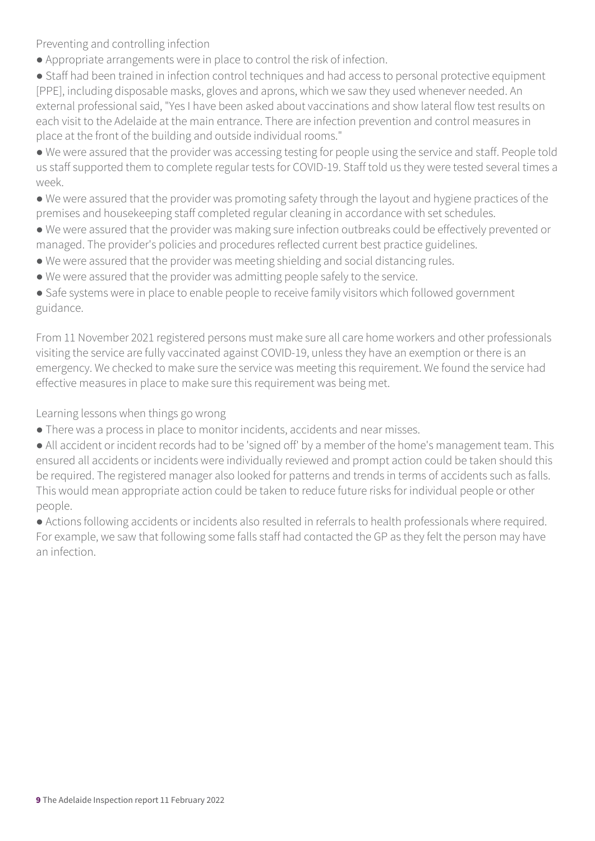Preventing and controlling infection

● Appropriate arrangements were in place to control the risk of infection.

● Staff had been trained in infection control techniques and had access to personal protective equipment [PPE], including disposable masks, gloves and aprons, which we saw they used whenever needed. An external professional said, "Yes I have been asked about vaccinations and show lateral flow test results on each visit to the Adelaide at the main entrance. There are infection prevention and control measures in place at the front of the building and outside individual rooms."

● We were assured that the provider was accessing testing for people using the service and staff. People told us staff supported them to complete regular tests for COVID-19. Staff told us they were tested several times a week.

● We were assured that the provider was promoting safety through the layout and hygiene practices of the premises and housekeeping staff completed regular cleaning in accordance with set schedules.

● We were assured that the provider was making sure infection outbreaks could be effectively prevented or managed. The provider's policies and procedures reflected current best practice guidelines.

- We were assured that the provider was meeting shielding and social distancing rules.
- We were assured that the provider was admitting people safely to the service.

• Safe systems were in place to enable people to receive family visitors which followed government guidance.

From 11 November 2021 registered persons must make sure all care home workers and other professionals visiting the service are fully vaccinated against COVID-19, unless they have an exemption or there is an emergency. We checked to make sure the service was meeting this requirement. We found the service had effective measures in place to make sure this requirement was being met.

Learning lessons when things go wrong

● There was a process in place to monitor incidents, accidents and near misses.

• All accident or incident records had to be 'signed off' by a member of the home's management team. This ensured all accidents or incidents were individually reviewed and prompt action could be taken should this be required. The registered manager also looked for patterns and trends in terms of accidents such as falls. This would mean appropriate action could be taken to reduce future risks for individual people or other people.

● Actions following accidents or incidents also resulted in referrals to health professionals where required. For example, we saw that following some falls staff had contacted the GP as they felt the person may have an infection.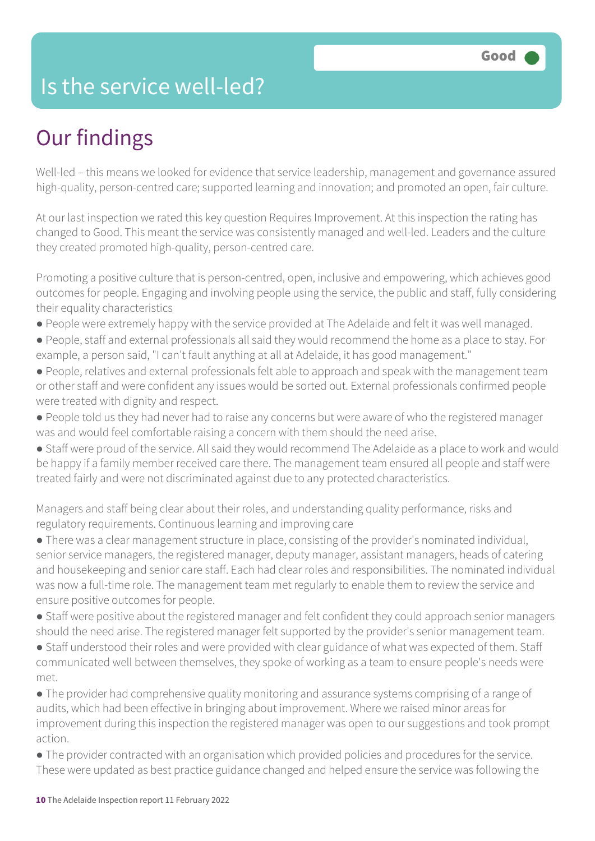## Is the service well-led?

## Our findings

Well-led – this means we looked for evidence that service leadership, management and governance assured high-quality, person-centred care; supported learning and innovation; and promoted an open, fair culture.

At our last inspection we rated this key question Requires Improvement. At this inspection the rating has changed to Good. This meant the service was consistently managed and well-led. Leaders and the culture they created promoted high-quality, person-centred care.

Promoting a positive culture that is person-centred, open, inclusive and empowering, which achieves good outcomes for people. Engaging and involving people using the service, the public and staff, fully considering their equality characteristics

- People were extremely happy with the service provided at The Adelaide and felt it was well managed.
- People, staff and external professionals all said they would recommend the home as a place to stay. For example, a person said, "I can't fault anything at all at Adelaide, it has good management."
- People, relatives and external professionals felt able to approach and speak with the management team or other staff and were confident any issues would be sorted out. External professionals confirmed people were treated with dignity and respect.
- People told us they had never had to raise any concerns but were aware of who the registered manager was and would feel comfortable raising a concern with them should the need arise.
- Staff were proud of the service. All said they would recommend The Adelaide as a place to work and would be happy if a family member received care there. The management team ensured all people and staff were treated fairly and were not discriminated against due to any protected characteristics.

Managers and staff being clear about their roles, and understanding quality performance, risks and regulatory requirements. Continuous learning and improving care

● There was a clear management structure in place, consisting of the provider's nominated individual, senior service managers, the registered manager, deputy manager, assistant managers, heads of catering and housekeeping and senior care staff. Each had clear roles and responsibilities. The nominated individual was now a full-time role. The management team met regularly to enable them to review the service and ensure positive outcomes for people.

- Staff were positive about the registered manager and felt confident they could approach senior managers should the need arise. The registered manager felt supported by the provider's senior management team.
- Staff understood their roles and were provided with clear guidance of what was expected of them. Staff communicated well between themselves, they spoke of working as a team to ensure people's needs were met.
- The provider had comprehensive quality monitoring and assurance systems comprising of a range of audits, which had been effective in bringing about improvement. Where we raised minor areas for improvement during this inspection the registered manager was open to our suggestions and took prompt action.
- The provider contracted with an organisation which provided policies and procedures for the service. These were updated as best practice guidance changed and helped ensure the service was following the